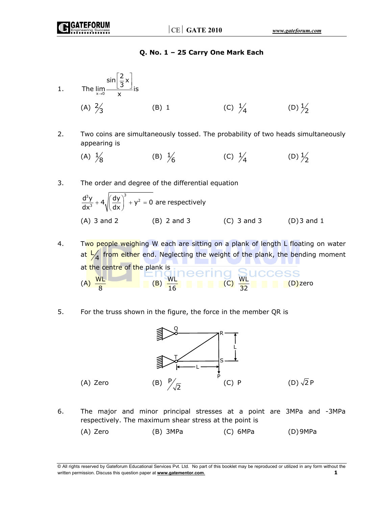### **Q. No. 1 – 25 Carry One Mark Each**

- 1. The  $\lim_{x\to 0}$  $\sin \left[\frac{2}{3}x\right]$ The  $\lim_{x\to 0} \frac{3^{n}}{x}$  is  $\vert 2 \downarrow \vert$  $\left\lfloor \frac{1}{3} \right\rfloor$ (A)  $\frac{2}{3}$  $\frac{1}{3}$  (B) 1 (C)  $\frac{1}{4}$  (D)  $\frac{1}{2}$
- 2. Two coins are simultaneously tossed. The probability of two heads simultaneously appearing is

(A)  $\frac{1}{8}$ (B)  $\frac{1}{6}$ 6 (C)  $\frac{1}{4}$  (D)  $\frac{1}{2}$ 

3. The order and degree of the differential equation

$$
\frac{d^{3}y}{dx^{3}} + 4\sqrt{\left(\frac{dy}{dx}\right)^{3}} + y^{2} = 0
$$
 are respectively  
(A) 3 and 2  
(B) 2 and 3  
(C) 3 and 3  
(D) 3 and 1

4. Two people weighing W each are sitting on a plank of length L floating on water at  $\frac{1}{4}$  fro<mark>m either</mark> end. Neglecting the weight of the plank, the bending moment at the centre of the plank is (A)  $\frac{WL}{8}$  (B)  $\frac{WL}{16}$  (C)  $\frac{WL}{32}$  (D)zero

5. For the truss shown in the figure, the force in the member QR is



6. The major and minor principal stresses at a point are 3MPa and -3MPa respectively. The maximum shear stress at the point is

(A) Zero (B) 3MPa (C) 6MPa (D) 9MPa

<sup>©</sup> All rights reserved by Gateforum Educational Services Pvt. Ltd. No part of this booklet may be reproduced or utilized in any form without the written permission. Discuss this question paper at **www.gatementor.com**. **1**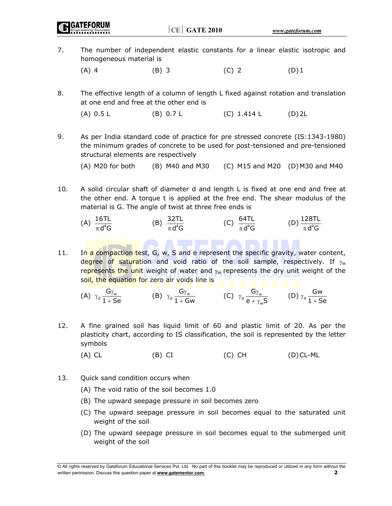$|CE|$  GATE 2010  $www.gateform.com$ 7. The number of independent elastic constants for a linear elastic isotropic and homogeneous material is (A) 4 (B) 3 (C) 2 (D) 1

8. The effective length of a column of length L fixed against rotation and translation at one end and free at the other end is

(A) 0.5 L (B) 0.7 L (C) 1.414 L (D) 2L

9. As per India standard code of practice for pre stressed concrete (IS:1343-1980) the minimum grades of concrete to be used for post-tensioned and pre-tensioned structural elements are respectively

(A) M20 for both (B) M40 and M30 (C) M15 and M20 (D) M30 and M40

- 10. A solid circular shaft of diameter d and length L is fixed at one end and free at the other end. A torque t is applied at the free end. The shear modulus of the material is G. The angle of twist at three free ends is
- (A)  $\frac{16TL}{164CL}$  $\frac{16TL}{\pi d^4G}$  (B)  $\frac{32TL}{\pi d^4G}$  $\frac{32TL}{\pi d^4G}$  (C)  $\frac{64TL}{\pi d^4G}$  (D)  $\frac{128TL}{\pi d^4G}$  $\pi\, \mathsf{d}^4 \mathsf{G}$
- 11. In a compaction test, G, w, S and e represent the specific gravity, water content, degree of saturation and void ratio of the soil sample, respectively. If  $\gamma_w$ represents the unit weight of water and  $\gamma_w$  represents the dry unit weight of the soil, the equation for zero air voids line is
- $(A)$   $\gamma_d \frac{G_{Iw}}{1+G}$ G  $\gamma_{d} \frac{G\gamma_{w}}{1+Se}$  (B)  $\gamma_{d} \frac{G\gamma_{w}}{1+G}$ G  $\gamma_d \frac{G\gamma_w}{1+Gw}$  (C)  $\gamma_d \frac{G\gamma_w}{e+\gamma_w}$ G  $e + \gamma_{w}S$  $\gamma_{d} \frac{G\gamma_{w}}{e + \gamma_{w}S}$  (D)  $\gamma_{d} \frac{Gw}{1 + Se}$
- 12. A fine grained soil has liquid limit of 60 and plastic limit of 20. As per the plasticity chart, according to IS classification, the soil is represented by the letter symbols
	- $(A)$  CL  $(B)$  CI  $(C)$  CH  $(D)$  CL-ML
- 13. Quick sand condition occurs when
	- (A) The void ratio of the soil becomes 1.0
	- (B) The upward seepage pressure in soil becomes zero
	- (C) The upward seepage pressure in soil becomes equal to the saturated unit weight of the soil
	- (D) The upward seepage pressure in soil becomes equal to the submerged unit weight of the soil

<sup>©</sup> All rights reserved by Gateforum Educational Services Pvt. Ltd. No part of this booklet may be reproduced or utilized in any form without the written permission. Discuss this question paper at **www.gatementor.com**. **2**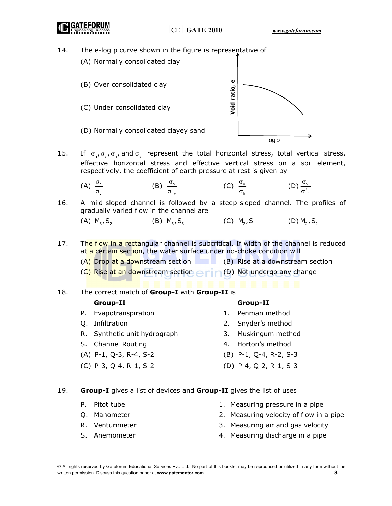# 14. The e-log p curve shown in the figure is representative of



15. If  $\sigma_h$ ,  $\sigma_v$ ,  $\sigma_h$ , and  $\sigma_v$  represent the total horizontal stress, total vertical stress, effective horizontal stress and effective vertical stress on a soil element, respectively, the coefficient of earth pressure at rest is given by

(A) 
$$
\frac{\sigma_h}{\sigma_v}
$$
 \t\t (B)  $\frac{\sigma_h}{\sigma'_v}$  \t\t (C)  $\frac{\sigma_v}{\sigma_h}$  \t\t (D)  $\frac{\sigma_v}{\sigma'_h}$ 

16. A mild-sloped channel is followed by a steep-sloped channel. The profiles of gradually varied flow in the channel are

(A) 
$$
M_3, S_2
$$
 (B)  $M_3, S_3$  (C)  $M_2, S_1$  (D)  $M_2, S_2$ 

- 17. The flow in a rectangular channel is subcritical. If width of the channel is reduced at a certain section, the water surface under no-choke condition will
	- $(A)$  Drop at a downstream section (B) Rise at a downstream section
	- (C) Rise at an downstream section  $\bigcap_{n=0}^{\infty}$  (D) Not undergo any change
- 18. The correct match of **Group-I** with **Group-II** is

# **Group-II Group-II**

- P. Evapotranspiration 1. Penman method
- 
- R. Synthetic unit hydrograph 3. Muskingum method
- S. Channel Routing **1. A. S. Edge A. Horton's method**
- 
- 

- 
- Q. Infiltration 2. Snyder's method
	-
	-
- (A) P-1, Q-3, R-4, S-2 (B) P-1, Q-4, R-2, S-3
- (C) P-3, Q-4, R-1, S-2 (D) P-4, Q-2, R-1, S-3

#### 19. **Group-I** gives a list of devices and **Group-II** gives the list of uses

- 
- 
- 
- 
- P. Pitot tube 1. Measuring pressure in a pipe
- Q. Manometer 2. Measuring velocity of flow in a pipe
- R. Venturimeter 3. Measuring air and gas velocity
- S. Anemometer **4. Measuring discharge in a pipe**

<sup>©</sup> All rights reserved by Gateforum Educational Services Pvt. Ltd. No part of this booklet may be reproduced or utilized in any form without the written permission. Discuss this question paper at **www.gatementor.com**. **3**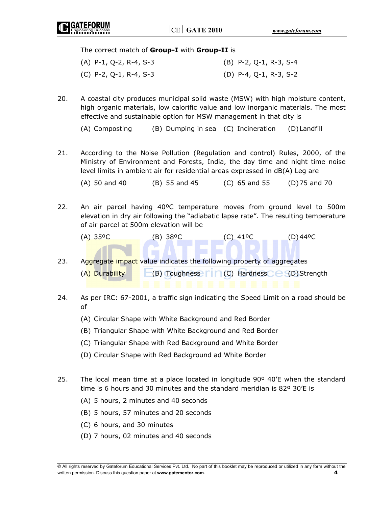#### The correct match of **Group-I** with **Group-II** is

| $(A)$ P-1, Q-2, R-4, S-3 | (B) P-2, Q-1, R-3, S-4 |
|--------------------------|------------------------|
| (C) P-2, Q-1, R-4, S-3   | (D) P-4, Q-1, R-3, S-2 |

20. A coastal city produces municipal solid waste (MSW) with high moisture content, high organic materials, low calorific value and low inorganic materials. The most effective and sustainable option for MSW management in that city is

(A) Composting (B) Dumping in sea (C) Incineration (D) Landfill

21. According to the Noise Pollution (Regulation and control) Rules, 2000, of the Ministry of Environment and Forests, India, the day time and night time noise level limits in ambient air for residential areas expressed in dB(A) Leg are

(A) 50 and 40 (B) 55 and 45 (C) 65 and 55 (D) 75 and 70

- 22. An air parcel having 40ºC temperature moves from ground level to 500m elevation in dry air following the "adiabatic lapse rate". The resulting temperature of air parcel at 500m elevation will be
	- $(A)$  35°C (B) 38°C (C) 41°C (B) 44°C
- 23. Aggregate impact value indicates the following property of aggregates (A) Durability  $\Box$  (B) Toughness  $\Box \Box$  (C) Hardness  $\Box \Box$  (D) Strength
- 24. As per IRC: 67-2001, a traffic sign indicating the Speed Limit on a road should be of
	- (A) Circular Shape with White Background and Red Border
	- (B) Triangular Shape with White Background and Red Border
	- (C) Triangular Shape with Red Background and White Border
	- (D) Circular Shape with Red Background ad White Border
- 25. The local mean time at a place located in longitude  $90^{\circ}$  40'E when the standard time is 6 hours and 30 minutes and the standard meridian is 82º 30'E is
	- (A) 5 hours, 2 minutes and 40 seconds
	- (B) 5 hours, 57 minutes and 20 seconds
	- (C) 6 hours, and 30 minutes
	- (D) 7 hours, 02 minutes and 40 seconds

<sup>©</sup> All rights reserved by Gateforum Educational Services Pvt. Ltd. No part of this booklet may be reproduced or utilized in any form without the written permission. Discuss this question paper at **www.gatementor.com**. **4**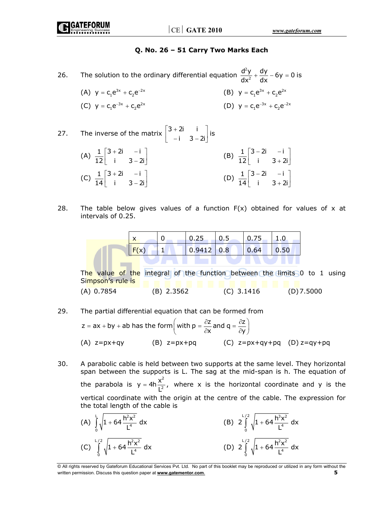### **Q. No. 26 – 51 Carry Two Marks Each**

26. The solution to the ordinary differential equation  $\frac{d^2}{dt^2}$  $\frac{d^2y}{dx^2} + \frac{dy}{dx} - 6y = 0$  is

(A) 
$$
y = c_1 e^{3x} + c_2 e^{-2x}
$$
  
\n(B)  $y = c_1 e^{3x} + c_2 e^{2x}$   
\n(C)  $y = c_1 e^{-3x} + c_2 e^{2x}$   
\n(D)  $y = c_1 e^{-3x} + c_2 e^{-2x}$ 

27. The inverse of the matrix 
$$
\begin{bmatrix} 3+2i & i \\ -i & 3-2i \end{bmatrix}
$$
 is  
\n(A)  $\frac{1}{12} \begin{bmatrix} 3+2i & -i \\ i & 3-2i \end{bmatrix}$   
\n(B)  $\frac{1}{12} \begin{bmatrix} 3-2i & -i \\ i & 3+2i \end{bmatrix}$   
\n(C)  $\frac{1}{14} \begin{bmatrix} 3+2i & -i \\ i & 3-2i \end{bmatrix}$   
\n(D)  $\frac{1}{14} \begin{bmatrix} 3-2i & -i \\ i & 3+2i \end{bmatrix}$ 

28. The table below gives values of a function  $F(x)$  obtained for values of x at intervals of 0.25.

|  | 0.25         | U.S | 0.75 |      |
|--|--------------|-----|------|------|
|  | $0.9412$ 0.8 |     | 0.64 | 0.50 |
|  |              |     |      |      |

The value of the integral of the function between the limits 0 to 1 using Simpson's rule is (A) 0.7854 (B) 2.3562 (C) 3.1416 (D) 7.5000

29. The partial differential equation that can be formed from

$$
z = ax + by + ab has the form \left( with \ p = \frac{\partial z}{\partial x} \text{ and } q = \frac{\partial z}{\partial y} \right)
$$
  
(A)  $z = px + qy$  (B)  $z = px + pq$  (C)  $z = px + qy + pq$  (D)  $z = qy + pq$ 

- 30. A parabolic cable is held between two supports at the same level. They horizontal span between the supports is L. The sag at the mid-span is h. The equation of the parabola is  $y = 4h \frac{x^2}{x^2}$  $y = 4h \frac{x^2}{L^2}$ , where x is the horizontal coordinate and y is the vertical coordinate with the origin at the centre of the cable. The expression for the total length of the cable is
- (A)  $\int_{1}^{L} \sqrt{1+64} \frac{h^2x^2}{4}$  $\int_{0}^{1}$   $\sqrt{ }$   $\int_{0}^{4}$  $\int_1 + 64 \frac{h^2 x^2}{h^4} dx$  $\int_{0}^{\pi} \sqrt{1 + 64 \frac{11}{L^4}} dx$  (B)  $L/2$   $h^3v^2$  $\int_{0}^{1}$   $\sqrt{ }$   $\cdot$   $\cdot$   $\cdot$   $\cdot$   $\cdot$   $\cdot$   $\cdot$  $2 \int_{1}^{1/2} \sqrt{1 + 64 \frac{h^3 x^2}{4}} dx$  $\int_{0}^{1} \sqrt{1 + 64 \frac{1}{L}}$  $(C)$  $L/2$   $h^2v^2$  $\int_{0}^{1}$   $\sqrt{ }$   $\int_{0}^{4}$  $\int_1^1 + 64 \frac{h^2 x^2}{h} dx$  $\int_{0}^{1} \sqrt{1 + 64 \frac{1}{L^{4}}} dx$  (D)  $L/2$   $h^2v^2$  $2 \int_{0}^{1/2} \sqrt{1 + 64 \frac{h^2 x^2}{1^4}} dx$ 0  $\int_{0}^{\pi} \sqrt{1 + 64 \frac{H}{L}}$

<sup>©</sup> All rights reserved by Gateforum Educational Services Pvt. Ltd. No part of this booklet may be reproduced or utilized in any form without the written permission. Discuss this question paper at **www.gatementor.com**. **5**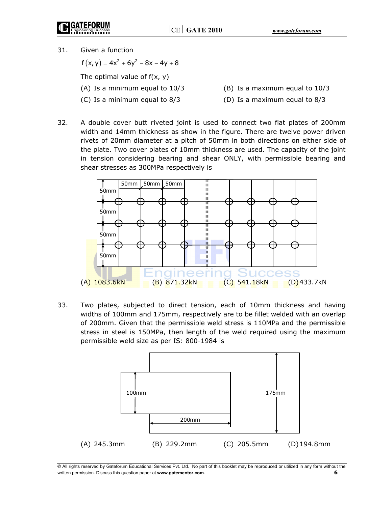- **GATEFORUN**
- 31. Given a function

 $f(x, y) = 4x^2 + 6y^2 - 8x - 4y + 8$ The optimal value of  $f(x, y)$ 

- 
- 
- (A) Is a minimum equal to 10/3 (B) Is a maximum equal to 10/3
- (C) Is a minimum equal to 8/3 (D) Is a maximum equal to 8/3
- 32. A double cover butt riveted joint is used to connect two flat plates of 200mm width and 14mm thickness as show in the figure. There are twelve power driven rivets of 20mm diameter at a pitch of 50mm in both directions on either side of the plate. Two cover plates of 10mm thickness are used. The capacity of the joint in tension considering bearing and shear ONLY, with permissible bearing and shear stresses as 300MPa respectively is



33. Two plates, subjected to direct tension, each of 10mm thickness and having widths of 100mm and 175mm, respectively are to be fillet welded with an overlap of 200mm. Given that the permissible weld stress is 110MPa and the permissible stress in steel is 150MPa, then length of the weld required using the maximum permissible weld size as per IS: 800-1984 is



<sup>©</sup> All rights reserved by Gateforum Educational Services Pvt. Ltd. No part of this booklet may be reproduced or utilized in any form without the written permission. Discuss this question paper at **www.gatementor.com**. **6**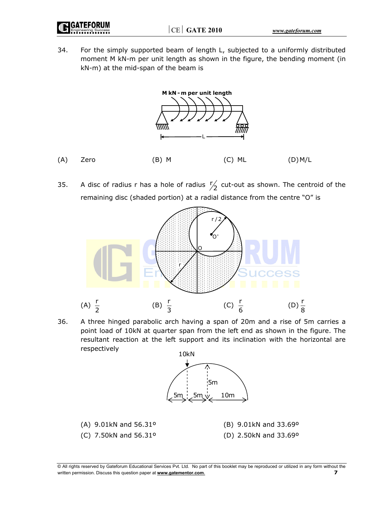GATEFORUN

34. For the simply supported beam of length L, subjected to a uniformly distributed moment M kN-m per unit length as shown in the figure, the bending moment (in kN-m) at the mid-span of the beam is



35. A disc of radius r has a hole of radius  $\frac{r}{2}$  cut-out as shown. The centroid of the remaining disc (shaded portion) at a radial distance from the centre "O" is



36. A three hinged parabolic arch having a span of 20m and a rise of 5m carries a point load of 10kN at quarter span from the left end as shown in the figure. The resultant reaction at the left support and its inclination with the horizontal are respectively



<sup>©</sup> All rights reserved by Gateforum Educational Services Pvt. Ltd. No part of this booklet may be reproduced or utilized in any form without the written permission. Discuss this question paper at **www.gatementor.com**. **7**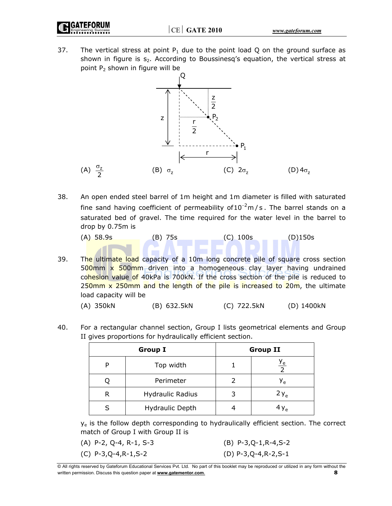- 
- 37. The vertical stress at point  $P_1$  due to the point load Q on the ground surface as shown in figure is  $s_2$ . According to Boussinesq's equation, the vertical stress at point  $P_2$  shown in figure will be



- 38. An open ended steel barrel of 1m height and 1m diameter is filled with saturated fine sand having coefficient of permeability of  $10^{-2}$ m/s. The barrel stands on a saturated bed of gravel. The time required for the water level in the barrel to drop by 0.75m is
	- (A) 58.9s (B) 75s (C) 100s (D)150s

39. The ultimate load capacity of a 10m long concrete pile of square cross section 500mm x 500mm driven into a homogeneous clay layer having undrained cohesion value of 40kPa is 700kN. If the cross section of the pile is reduced to 250 $\text{mm}$  x 250 $\text{mm}$  and the length of the pile is increased to 20 $\text{m}$ , the ultimate load capacity will be

| (A) 350kN | (B) 632.5kN | (C) 722.5kN | (D) 1400kN |
|-----------|-------------|-------------|------------|
|-----------|-------------|-------------|------------|

40. For a rectangular channel section, Group I lists geometrical elements and Group II gives proportions for hydraulically efficient section.

|   | <b>Group I</b>          | <b>Group II</b> |                 |  |
|---|-------------------------|-----------------|-----------------|--|
|   | Top width               |                 | $\frac{y_e}{2}$ |  |
|   | Perimeter               |                 | У <sub>е</sub>  |  |
| R | <b>Hydraulic Radius</b> |                 | $2y_e$          |  |
|   | <b>Hydraulic Depth</b>  |                 | $4y_e$          |  |

 $y<sub>e</sub>$  is the follow depth corresponding to hydraulically efficient section. The correct match of Group I with Group II is

(A) P-2, Q-4, R-1, S-3 (B) P-3,Q-1,R-4,S-2

(C) P-3,Q-4,R-1,S-2 (D) P-3,Q-4,R-2,S-1

<sup>©</sup> All rights reserved by Gateforum Educational Services Pvt. Ltd. No part of this booklet may be reproduced or utilized in any form without the written permission. Discuss this question paper at **www.gatementor.com**. **8**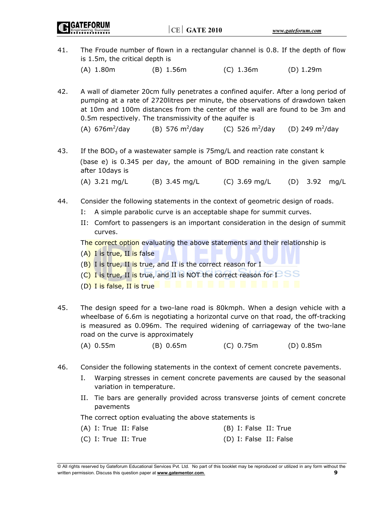41. The Froude number of flown in a rectangular channel is 0.8. If the depth of flow is 1.5m, the critical depth is (A) 1.80m (B) 1.56m (C) 1.36m (D) 1.29m

42. A wall of diameter 20cm fully penetrates a confined aquifer. After a long period of pumping at a rate of 2720litres per minute, the observations of drawdown taken at 10m and 100m distances from the center of the wall are found to be 3m and 0.5m respectively. The transmissivity of the aquifer is

 $(A)$  676 $m^2$ /day (B) 576  $m^2$ /day /day (C) 526 m<sup>2</sup>/day (D) 249 m<sup>2</sup>/day

43. If the BOD<sub>3</sub> of a wastewater sample is 75mg/L and reaction rate constant k (base e) is 0.345 per day, the amount of BOD remaining in the given sample after 10days is

(A) 3.21 mg/L (B) 3.45 mg/L (C) 3.69 mg/L (D) 3.92 mg/L

- 44. Consider the following statements in the context of geometric design of roads.
	- I: A simple parabolic curve is an acceptable shape for summit curves.
	- II: Comfort to passengers is an important consideration in the design of summit curves.

The correct option evaluating the above statements and their relationship is

- (A) I is true, II is false
- $(B)$  I is true, II is true, and II is the correct reason for I
- (C) I is true, II is true, and II is NOT the correct reason for  $I-SS$
- (D) I is false, II is true
- 45. The design speed for a two-lane road is 80kmph. When a design vehicle with a wheelbase of 6.6m is negotiating a horizontal curve on that road, the off-tracking is measured as 0.096m. The required widening of carriageway of the two-lane road on the curve is approximately
	- (A) 0.55m (B) 0.65m (C) 0.75m (D) 0.85m
- 46. Consider the following statements in the context of cement concrete pavements.
	- I. Warping stresses in cement concrete pavements are caused by the seasonal variation in temperature.
	- II. Tie bars are generally provided across transverse joints of cement concrete pavements

The correct option evaluating the above statements is

 (A) I: True II: False (B) I: False II: True (C) I: True II: True (D) I: False II: False

<sup>©</sup> All rights reserved by Gateforum Educational Services Pvt. Ltd. No part of this booklet may be reproduced or utilized in any form without the written permission. Discuss this question paper at **www.gatementor.com**. **9**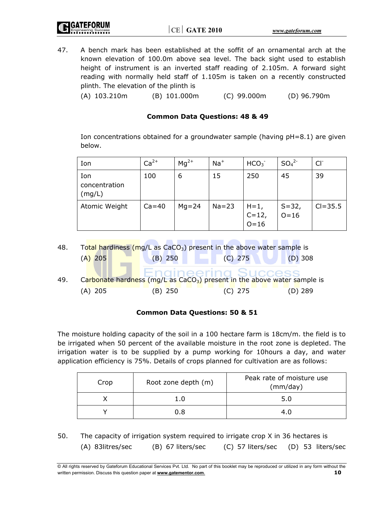47. A bench mark has been established at the soffit of an ornamental arch at the known elevation of 100.0m above sea level. The back sight used to establish height of instrument is an inverted staff reading of 2.105m. A forward sight reading with normally held staff of 1.105m is taken on a recently constructed plinth. The elevation of the plinth is

(A) 103.210m (B) 101.000m (C) 99.000m (D) 96.790m

# **Common Data Questions: 48 & 49**

Ion concentrations obtained for a groundwater sample (having pH=8.1) are given below.

| Ion                            | $Ca2+$    | $Mq^{2+}$ | $Na+$     | HCO <sub>3</sub>            | SO <sub>4</sub> <sup>2</sup> | $CI^{-}$    |
|--------------------------------|-----------|-----------|-----------|-----------------------------|------------------------------|-------------|
| Ion<br>concentration<br>(mg/L) | 100       | 6         | 15        | 250                         | 45                           | 39          |
| Atomic Weight                  | $Ca = 40$ | $Mg = 24$ | $Na = 23$ | $H=1,$<br>C=12,<br>$O = 16$ | $S=32,$<br>O=16              | $Cl = 35.5$ |

48. Total hardiness ( $mq/L$  as CaCO<sub>3</sub>) present in the above water sample is (A) 205 (B) 250 (C) 275 (D) 308 49. Carbonate hardness (mg/L as CaCO<sub>3</sub>) present in the above water sample is (A) 205 (B) 250 (C) 275 (D) 289

# **Common Data Questions: 50 & 51**

The moisture holding capacity of the soil in a 100 hectare farm is 18cm/m. the field is to be irrigated when 50 percent of the available moisture in the root zone is depleted. The irrigation water is to be supplied by a pump working for 10hours a day, and water application efficiency is 75%. Details of crops planned for cultivation are as follows:

| Crop | Root zone depth (m) | Peak rate of moisture use<br>(mm/day) |  |
|------|---------------------|---------------------------------------|--|
|      |                     | 5.0                                   |  |
|      | 0. R                |                                       |  |

50. The capacity of irrigation system required to irrigate crop X in 36 hectares is (A) 83litres/sec (B) 67 liters/sec (C) 57 liters/sec (D) 53 liters/sec

<sup>©</sup> All rights reserved by Gateforum Educational Services Pvt. Ltd. No part of this booklet may be reproduced or utilized in any form without the written permission. Discuss this question paper at **www.gatementor.com**. **10**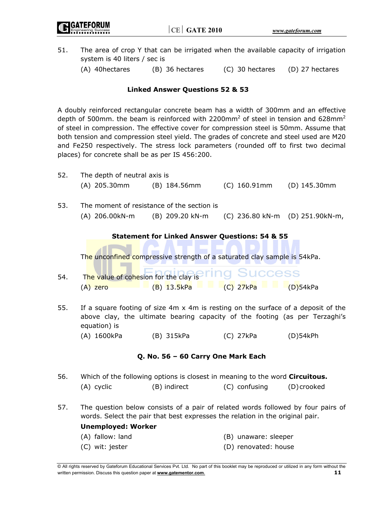**GATEFORUM** 

- 51. The area of crop Y that can be irrigated when the available capacity of irrigation system is 40 liters / sec is
	- (A) 40hectares (B) 36 hectares (C) 30 hectares (D) 27 hectares

# **Linked Answer Questions 52 & 53**

A doubly reinforced rectangular concrete beam has a width of 300mm and an effective depth of 500mm. the beam is reinforced with 2200mm<sup>2</sup> of steel in tension and 628mm<sup>2</sup> of steel in compression. The effective cover for compression steel is 50mm. Assume that both tension and compression steel yield. The grades of concrete and steel used are M20 and Fe250 respectively. The stress lock parameters (rounded off to first two decimal places) for concrete shall be as per IS 456:200.

| 52. | The depth of neutral axis is                                                                                                                                                            |                                                                          |                                 |              |  |  |
|-----|-----------------------------------------------------------------------------------------------------------------------------------------------------------------------------------------|--------------------------------------------------------------------------|---------------------------------|--------------|--|--|
|     | (A) 205.30mm                                                                                                                                                                            | (B) 184.56mm                                                             | (C) 160.91mm                    | (D) 145.30mm |  |  |
| 53. | The moment of resistance of the section is                                                                                                                                              |                                                                          |                                 |              |  |  |
|     | (A) 206.00kN-m                                                                                                                                                                          | (B) 209.20 kN-m                                                          | (C) 236.80 kN-m (D) 251.90kN-m, |              |  |  |
|     |                                                                                                                                                                                         | <b>Statement for Linked Answer Questions: 54 &amp; 55</b>                |                                 |              |  |  |
|     |                                                                                                                                                                                         |                                                                          |                                 |              |  |  |
|     |                                                                                                                                                                                         | The unconfined compressive strength of a saturated clay sample is 54kPa. |                                 |              |  |  |
|     |                                                                                                                                                                                         | The value of cohesion for the clay is ring Success                       |                                 |              |  |  |
| 54. |                                                                                                                                                                                         |                                                                          | <b>E</b> $(C)$ 27kPa (D)54kPa   |              |  |  |
|     | $(A)$ zero                                                                                                                                                                              | $(B)$ 13.5kPa                                                            |                                 |              |  |  |
| 55. | If a square footing of size $4m \times 4m$ is resting on the surface of a deposit of the<br>above clay, the ultimate bearing capacity of the footing (as per Terzaghi's<br>equation) is |                                                                          |                                 |              |  |  |
|     | (A) 1600kPa                                                                                                                                                                             | (B) 315kPa                                                               | (C) 27kPa                       | $(D)$ 54kPh  |  |  |
|     |                                                                                                                                                                                         | Q. No. 56 - 60 Carry One Mark Each                                       |                                 |              |  |  |
| 56. | Which of the following options is closest in meaning to the word Circuitous.                                                                                                            |                                                                          |                                 |              |  |  |
|     | (A) cyclic                                                                                                                                                                              | (B) indirect                                                             | (C) confusing                   | (D) crooked  |  |  |
| 57. | The question below consists of a pair of related words followed by four pairs of<br>words. Select the pair that best expresses the relation in the original pair.                       |                                                                          |                                 |              |  |  |
|     | <b>Unemployed: Worker</b>                                                                                                                                                               |                                                                          |                                 |              |  |  |
|     | (A) fallow: land                                                                                                                                                                        |                                                                          | (B) unaware: sleeper            |              |  |  |
|     | (C) wit: jester                                                                                                                                                                         |                                                                          | (D) renovated: house            |              |  |  |

<sup>©</sup> All rights reserved by Gateforum Educational Services Pvt. Ltd. No part of this booklet may be reproduced or utilized in any form without the written permission. Discuss this question paper at **www.gatementor.com**. **11**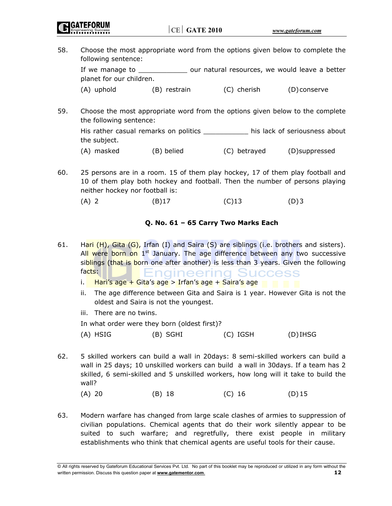58. Choose the most appropriate word from the options given below to complete the following sentence:

 If we manage to \_\_\_\_\_\_\_\_\_\_\_\_ our natural resources, we would leave a better planet for our children.

(A) uphold (B) restrain (C) cherish (D) conserve

59. Choose the most appropriate word from the options given below to the complete the following sentence:

 His rather casual remarks on politics \_\_\_\_\_\_\_\_\_\_\_ his lack of seriousness about the subject.

- (A) masked (B) belied (C) betrayed (D)suppressed
- 60. 25 persons are in a room. 15 of them play hockey, 17 of them play football and 10 of them play both hockey and football. Then the number of persons playing neither hockey nor football is:
- (A) 2 (B)17 (C)13 (D)3

# **Q. No. 61 – 65 Carry Two Marks Each**

- 61. Hari (H), Gita (G), Irfan (I) and Saira (S) are siblings (i.e. brothers and sisters). All were born on  $1<sup>st</sup>$  January. The age difference between any two successive siblings (that is born one after another) is less than 3 years. Given the following facts: ±ngıneerıng Success
	- i. Hari's age + Gita's age > Irfan's age + Saira's age
	- ii. The age difference between Gita and Saira is 1 year. However Gita is not the oldest and Saira is not the youngest.
	- iii. There are no twins.

In what order were they born (oldest first)?

- (A) HSIG (B) SGHI (C) IGSH (D) IHSG
- 62. 5 skilled workers can build a wall in 20days: 8 semi-skilled workers can build a wall in 25 days; 10 unskilled workers can build a wall in 30days. If a team has 2 skilled, 6 semi-skilled and 5 unskilled workers, how long will it take to build the wall?

(A) 20 (B) 18 (C) 16 (D) 15

63. Modern warfare has changed from large scale clashes of armies to suppression of civilian populations. Chemical agents that do their work silently appear to be suited to such warfare; and regretfully, there exist people in military establishments who think that chemical agents are useful tools for their cause.

© All rights reserved by Gateforum Educational Services Pvt. Ltd. No part of this booklet may be reproduced or utilized in any form without the written permission. Discuss this question paper at **www.gatementor.com**. **12**